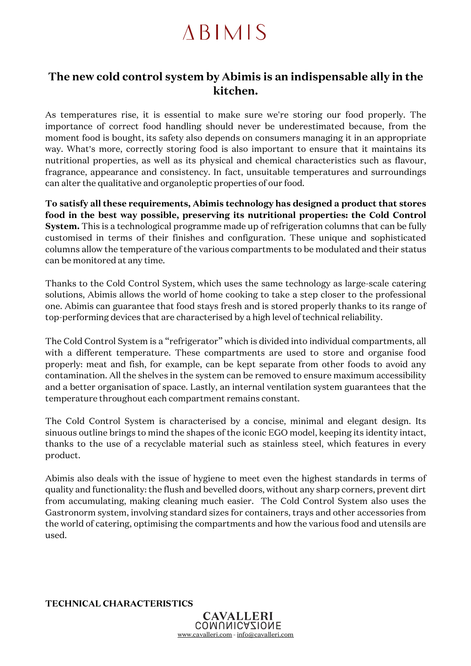## **ABIMIS**

## **The new cold control system by Abimis is an indispensable ally in the kitchen.**

As temperatures rise, it is essential to make sure we're storing our food properly. The importance of correct food handling should never be underestimated because, from the moment food is bought, its safety also depends on consumers managing it in an appropriate way. What's more, correctly storing food is also important to ensure that it maintains its nutritional properties, as well as its physical and chemical characteristics such as flavour, fragrance, appearance and consistency. In fact, unsuitable temperatures and surroundings can alter the qualitative and organoleptic properties of our food.

**To satisfy all these requirements, Abimis technology has designed a product that stores food in the best way possible, preserving its nutritional properties: the Cold Control System.** This is a technological programme made up of refrigeration columns that can be fully customised in terms of their finishes and configuration. These unique and sophisticated columns allow the temperature of the various compartments to be modulated and their status can be monitored at any time.

Thanks to the Cold Control System, which uses the same technology as large-scale catering solutions, Abimis allows the world of home cooking to take a step closer to the professional one. Abimis can guarantee that food stays fresh and is stored properly thanks to its range of top-performing devices that are characterised by a high level of technical reliability.

The Cold Control System is a "refrigerator" which is divided into individual compartments, all with a different temperature. These compartments are used to store and organise food properly: meat and fish, for example, can be kept separate from other foods to avoid any contamination. All the shelves in the system can be removed to ensure maximum accessibility and a better organisation of space. Lastly, an internal ventilation system guarantees that the temperature throughout each compartment remains constant.

The Cold Control System is characterised by a concise, minimal and elegant design. Its sinuous outline brings to mind the shapes of the iconic EGO model, keeping its identity intact, thanks to the use of a recyclable material such as stainless steel, which features in every product.

Abimis also deals with the issue of hygiene to meet even the highest standards in terms of quality and functionality: the flush and bevelled doors, without any sharp corners, prevent dirt from accumulating, making cleaning much easier. The Cold Control System also uses the Gastronorm system, involving standard sizes for containers, trays and other accessories from the world of catering, optimising the compartments and how the various food and utensils are used.

**TECHNICAL CHARACTERISTICS**